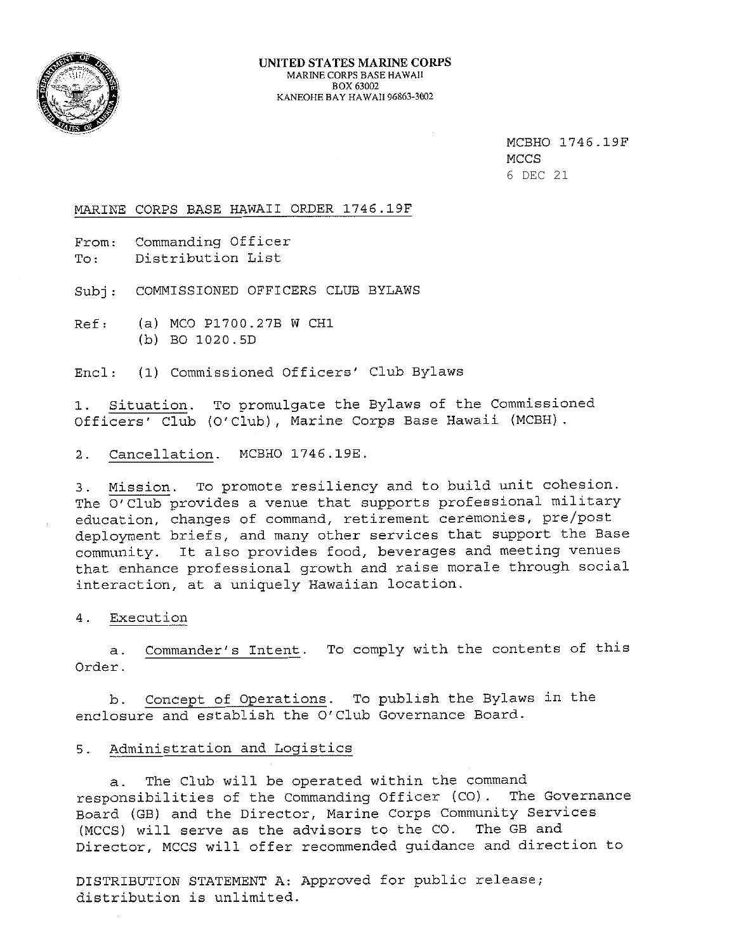

6 DEC 21 MCBHO 1746.19F MCCS

MARINE CORPS BASE HAWAII ORDER 1746.19F

From: Commanding Officer To: Distribution List

Subj: COMMISSIONED OFFICERS CLUB BYLAWS

Ref: (a) MCO P1700.27B W CHl (b) BO 1020.SD

Encl: (1) Commissioned Officers' Club Bylaws

1. Situation. To promulgate the Bylaws of the Commissioned Officers' Club (O'Club), Marine Corps Base Hawaii (MCBH).

2. Cancellation. MCBHO 1746.19E.

3. Mission. To promote resiliency and to build unit cohesion. The O'Club provides a venue that supports professional military education, changes of command, retirement ceremonies, pre/post deployment briefs, and many other services that support the Base community. It also provides food, beverages and meeting venues that enhance professional growth and raise morale through social interaction, at a uniquely Hawaiian location.

4. Execution

a. Commander's Intent. To comply with the contents of this Order.

b. Concept of Operations. To publish the Bylaws in the enclosure and establish the O'Club Governance Board.

# 5. Administration and Logistics

a. The Club will be operated within the command responsibilities of the Commanding Officer (CO). The Governance Board (GB) and the Director, Marine Corps Community Services (MCCS) will serve as the advisors to the CO. The GB and Director, MCCS will offer recommended guidance and direction to

DISTRIBUTION STATEMENT A: Approved for public release; distribution is unlimited.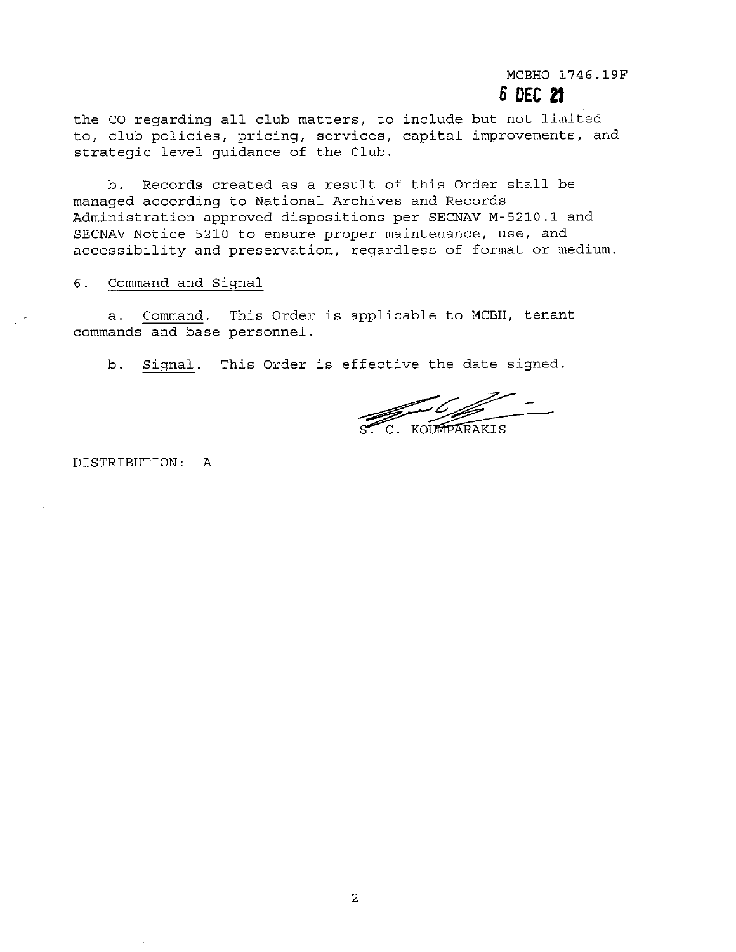# MCBHO 1746.19F

# **6 DEC 2t**

the CO regarding all club matters, to include but not limited to, club policies, pricing, services, capital improvements, and strategic level guidance of the Club.

b. Records created as a result of this Order shall be managed according to National Archives and Records Administration approved dispositions per SECNAV M-5210.1 and SECNAV Notice 5210 to ensure proper maintenance, use, and accessibility and preservation, regardless of format or medium.

6. Command and Signal

a. Command. This Order is applicable to MCBH, tenant commands and base personnel.

b. Signal. This Order is effective the date signed.

C. KOUMPARAKIS

DISTRIBUTION: A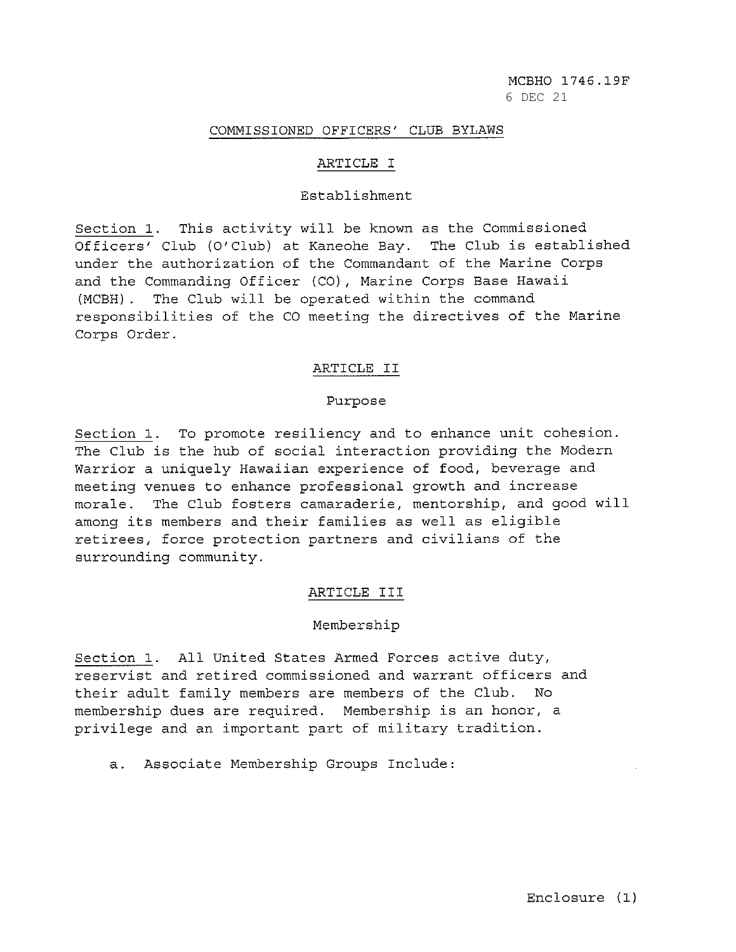#### COMMISSIONED OFFICERS' CLUB BYLAWS

## ARTICLE I

### Establishment

Section 1. This activity will be known as the Commissioned Officers' Club (O'Club) at Kaneohe Bay. The Club is established under the authorization of the Commandant of the Marine Corps and the Commanding Officer (CO), Marine Corps Base Hawaii (MCBH). The Club will be operated within the command responsibilities of the CO meeting the directives of the Marine Corps Order.

### ARTICLE II

#### Purpose

Section 1. To promote resiliency and to enhance unit cohesion. The Club is the hub of social interaction providing the Modern Warrior a uniquely Hawaiian experience of food, beverage and meeting venues to enhance professional growth and increase morale. The Club fosters camaraderie, mentorship, and good will among its members and their families as well as eligible retirees, force protection partners and civilians of the surrounding community.

# ARTICLE III

#### Membership

Section 1. All United States Armed Forces active duty, reservist and retired commissioned and warrant officers and their adult family members are members of the Club. membership dues are required. Membership is an honor, a privilege and an important part of military tradition.

a. Associate Membership Groups Include: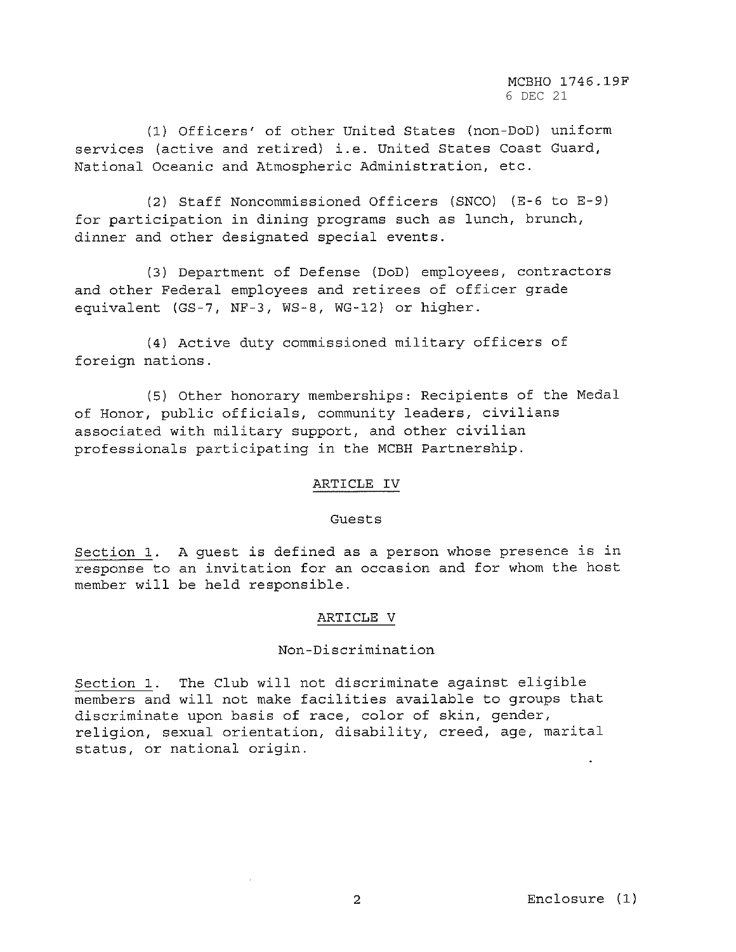6 DEC 21 MCBHO 1746.19F

(1) Officers' of other United States (non-DoD) uniform services (active and retired) i.e. United States Coast Guard, National Oceanic and Atmospheric Administration, etc.

(2) Staff Noncommissioned Officers (SNCO) (E-6 to E-9) for participation in dining programs such as lunch, brunch, dinner and other designated special events.

(3) Department of Defense (DoD) employees, contractors and other Federal employees and retirees of officer grade equivalent (GS-7, NF-3, WS-8, WG-12) or higher.

(4) Active duty commissioned military officers of foreign nations.

(5) Other honorary memberships: Recipients of the Medal of Honor, public officials, community leaders, civilians associated with military support, and other civilian professionals participating in the MCBH Partnership.

# ARTICLE IV

#### Guests

Section 1. A guest is defined as a person whose presence is in response to an invitation for an occasion and for whom the host member will be held responsible.

#### ARTICLE V

## Non-Discrimination

Section 1. The Club will not discriminate against eligible members and will not make facilities available to groups that discriminate upon basis of race, color of skin, gender, religion, sexual orientation, disability, creed, age, marital status, or national origin.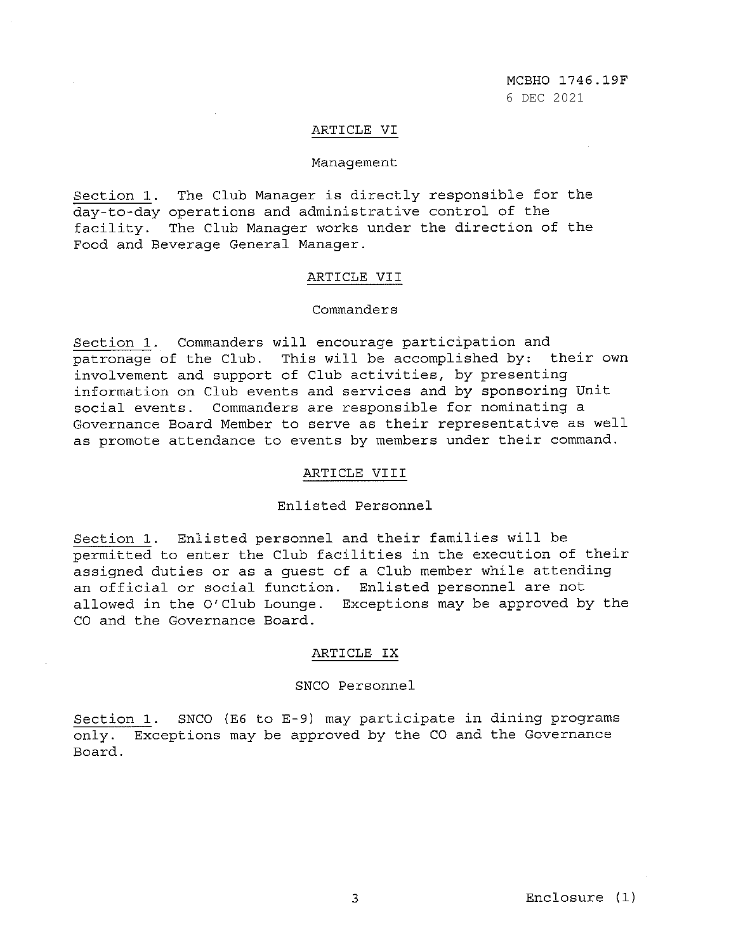6 DEC 2021 MCBHO 1746.19F

#### ARTICLE VI

#### Management

Section 1. The Club Manager is directly responsible for the day-to-day operations and administrative control of the facility. The Club Manager works under the direction of the Food and Beverage General Manager.

#### ARTICLE VII

## Commanders

Section 1. Commanders will encourage participation and patronage of the Club. This will be accomplished by: their own involvement and support of Club activities, by presenting information on Club events and services and by sponsoring Unit social events. Commanders are responsible for nominating a Governance Board Member to serve as their representative as well as promote attendance to events by members under their command.

#### ARTICLE VIII

#### Enlisted Personnel

Section 1. Enlisted personnel and their families will be permitted to enter the Club facilities in the execution of their assigned duties or as a guest of a Club member while attending an official or social function. Enlisted personnel are not allowed in the O'Club Lounge. Exceptions may be approved by the CO and the Governance Board.

### ARTICLE IX

#### SNCO Personnel

Section 1. SNCO (E6 to E-9) may participate in dining programs only. Exceptions may be approved by the CO and the Governance Board.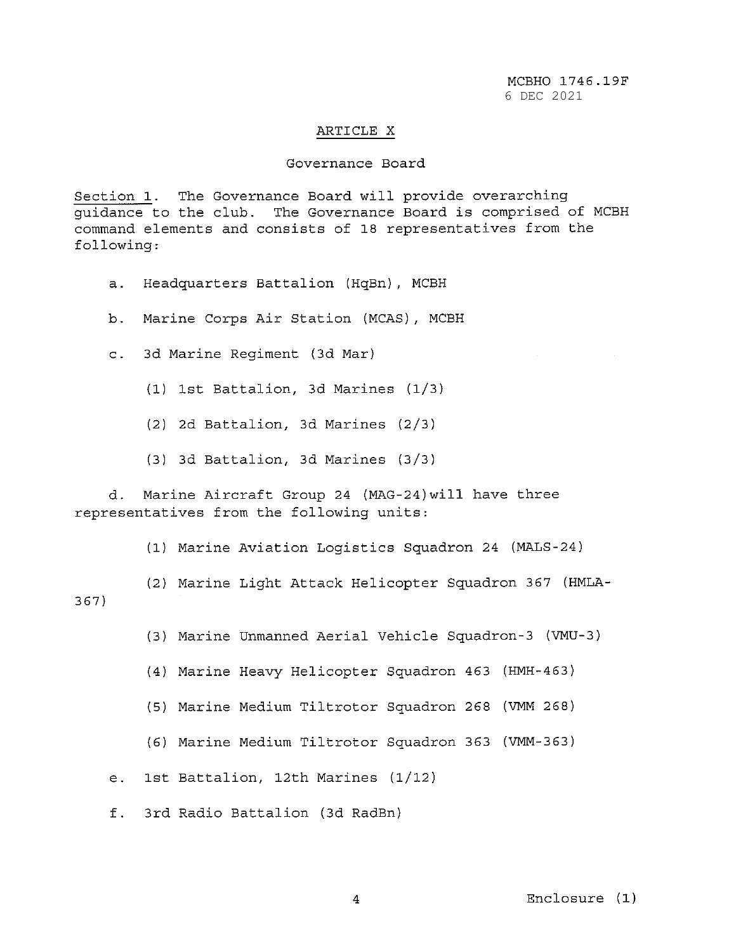6 DEC 2021 MCBHO 1746.19F

#### ARTICLE X

## Governance Board

Section 1. The Governance Board will provide overarching guidance to the club. The Governance Board is comprised of MCBH command elements and consists of 18 representatives from the following:

- a. Headquarters Battalion (HqBn), MCBH
- b. Marine Corps Air Station (MCAS), MCBH
- c. 3d Marine Regiment (3d Mar)
	- (1) 1st Battalion, 3d Marines (1/3)
	- (2) 2d Battalion, 3d Marines (2/3)
	- (3) 3d Battalion, 3d Marines (3/3)

d. Marine Aircraft Group 24 (MAG-24)will have three representatives from the following units:

(1) Marine Aviation Logistics Squadron 24 (MALS-24)

367) (2) Marine Light Attack Helicopter Squadron 367 (HMLA-

- (3) Marine Unmanned Aerial Vehicle Squadron-3 (VMU-3)
- (4) Marine Heavy Helicopter Squadron 463 (HMH-463)
- (5) Marine Medium Tiltrotor Squadron 268 (VMM 268)
- (6) Marine Medium Tiltrotor Squadron 363 (VMM-363)

e. 1st Battalion, 12th Marines (1/12)

f. 3rd Radio Battalion (3d RadBn)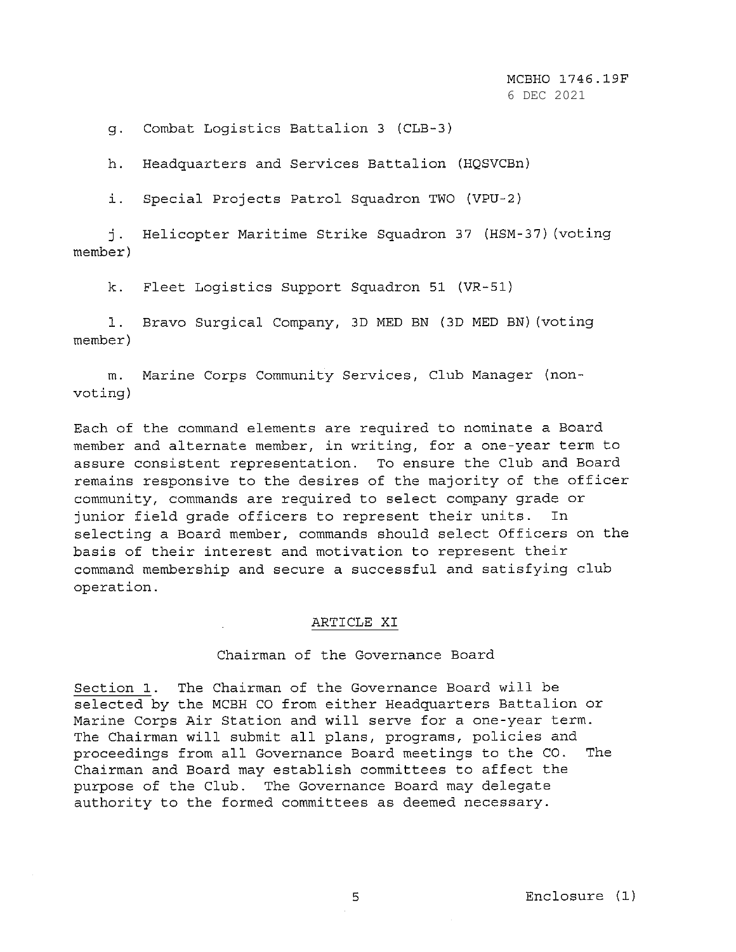g. Combat Logistics Battalion 3 (CLB-3)

h. Headquarters and Services Battalion (HQSVCBn)

i. Special Projects Patrol Squadron TWO (VPU-2)

j. Helicopter Maritime Strike Squadron 37 (HSM-37) (voting member)

k. Fleet Logistics Support Squadron 51 (VR-51)

1. Bravo Surgical Company, 3D MED BN (3D MED BN) (voting member)

m. Marine Corps Community Services, Club Manager (nonvoting)

Each of the command elements are required to nominate a Board member and alternate member, in writing, for a one-year term to assure consistent representation. To ensure the Club and Board remains responsive to the desires of the majority of the officer community, commands are required to select company grade or junior field grade officers to represent their units. In selecting a Board member, commands should select Officers on the basis of their interest and motivation to represent their command membership and secure a successful and satisfying club operation.

## ARTICLE XI

## Chairman of the Governance Board

Section 1. The Chairman of the Governance Board will be selected by the MCBH CO from either Headquarters Battalion or Marine Corps Air Station and will serve for a one-year term. The Chairman will submit all plans, programs, policies and proceedings from all Governance Board meetings to the CO. The Chairman and Board may establish committees to affect the purpose of the Club. The Governance Board may delegate authority to the formed committees as deemed necessary.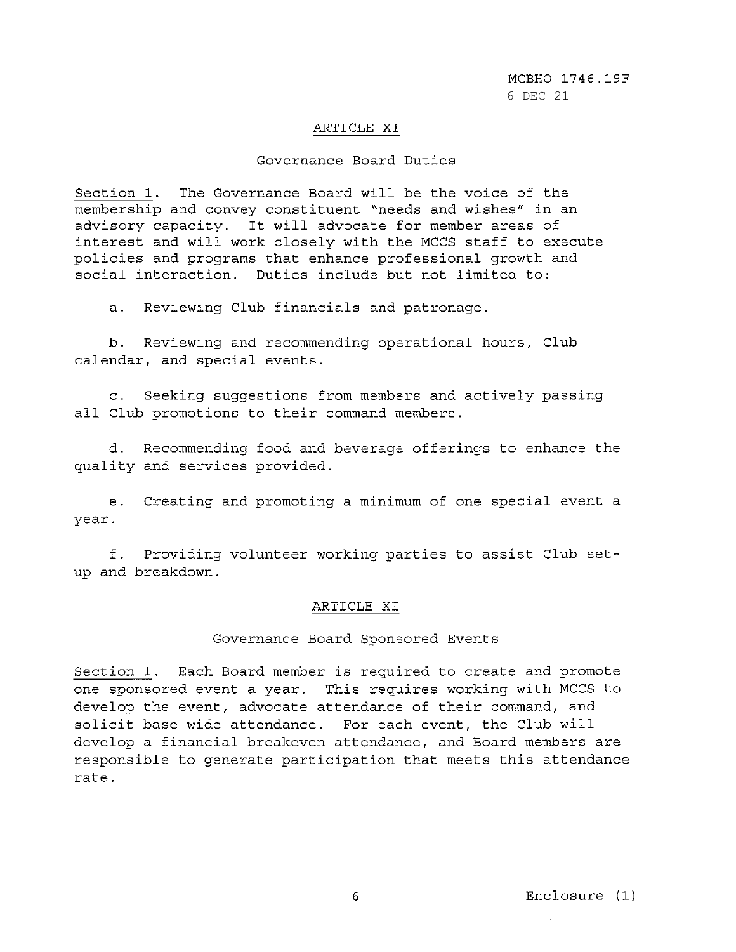6 DEC 21 MCBHO 1746.19F

## ARTICLE XI

# Governance Board Duties

Section 1. The Governance Board will be the voice of the membership and convey constituent "needs and wishes" in an advisory capacity. It will advocate for member areas of interest and will work closely with the MCCS staff to execute policies and programs that enhance professional growth and social interaction. Duties include but not limited to:

a. Reviewing Club financials and patronage.

b. Reviewing and recommending operational hours, Club calendar, and special events.

c. Seeking suggestions from members and actively passing all Club promotions to their command members.

d. Recommending food and beverage offerings to enhance the quality and services provided.

e. Creating and promoting a minimum of one special event a year.

f. Providing volunteer working parties to assist Club setup and breakdown.

#### ARTICLE XI

## Governance Board Sponsored Events

Section 1. Each Board member is required to create and promote one sponsored event a year. This requires working with MCCS to develop the event, advocate attendance of their command, and solicit base wide attendance. For each event, the Club will develop a financial breakeven attendance, and Board members are responsible to generate participation that meets this attendance rate.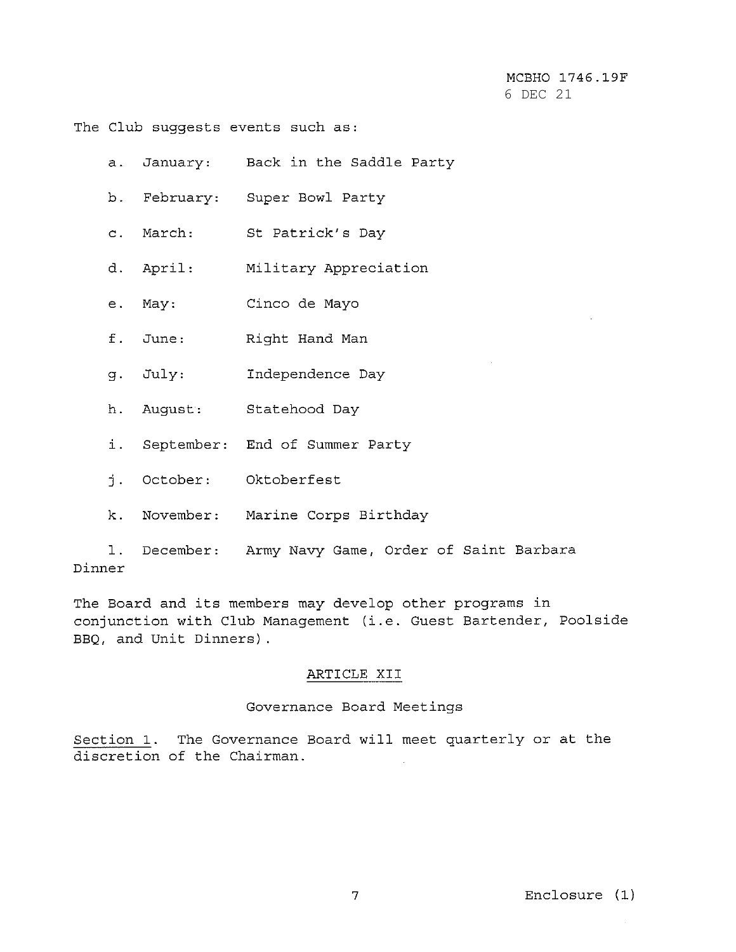The Club suggests events such as:

- a. January: Back in the Saddle Party
- b. February: Super Bowl Party
- C. March: St Patrick's Day
- d. April: Military Appreciation
- e. May: Cinco de Mayo
- f. June: Right Hand Man
- g. July: Independence Day
- h. August: Statehood Day
- i. September: End of Summer Party
- j . October: Oktoberfest
- k. November: Marine Corps Birthday

1. December: Army Navy Game, Order of Saint Barbara Dinner

The Board and its members may develop other programs in conjunction with Club Management (i.e. Guest Bartender, Poolside BBQ, and Unit Dinners).

## ARTICLE XII

#### Governance Board Meetings

Section 1. The Governance Board will meet quarterly or at the discretion of the Chairman.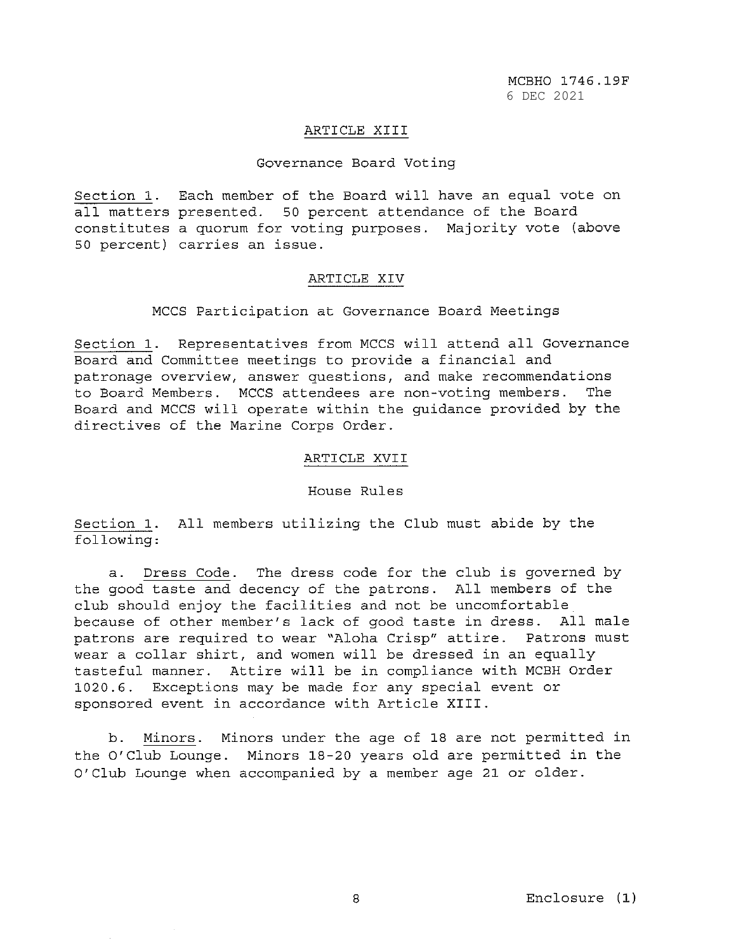6 DEC 2021 MCBHO 1746.19F

#### ARTICLE XIII

#### Governance Board Voting

Section 1. Each member of the Board will have an equal vote on all matters presented. 50 percent attendance of the Board constitutes a quorum for voting purposes. Majority vote (above 50 percent) carries an issue.

## ARTICLE XIV

### MCCS Participation at Governance Board Meetings

Section 1. Representatives from MCCS will attend all Governance Board and Committee meetings to provide a financial and patronage overview, answer questions, and make recommendations to Board Members. MCCS attendees are non-voting members. The Board and MCCS will operate within the guidance provided by the directives of the Marine Corps Order.

## ARTICLE XVII

## House Rules

Section 1. All members utilizing the Club must abide by the following:

a. Dress Code. The dress code for the club is governed by the good taste and decency of the patrons. All members of the club should enjoy the facilities and not be uncomfortable because of other member's lack of good taste in dress. All male patrons are required to wear "Aloha Crisp" attire. Patrons must wear a collar shirt, and women will be dressed in an equally tasteful manner. Attire will be in compliance with MCBH Order 1020.6. Exceptions may be made for any special event or sponsored event in accordance with Article XIII.

b. Minors. Minors under the age of 18 are not permitted in the O'Club Lounge. Minors 18-20 years old are permitted in the O'Club Lounge when accompanied by a member age 21 or older.

 $\sim$